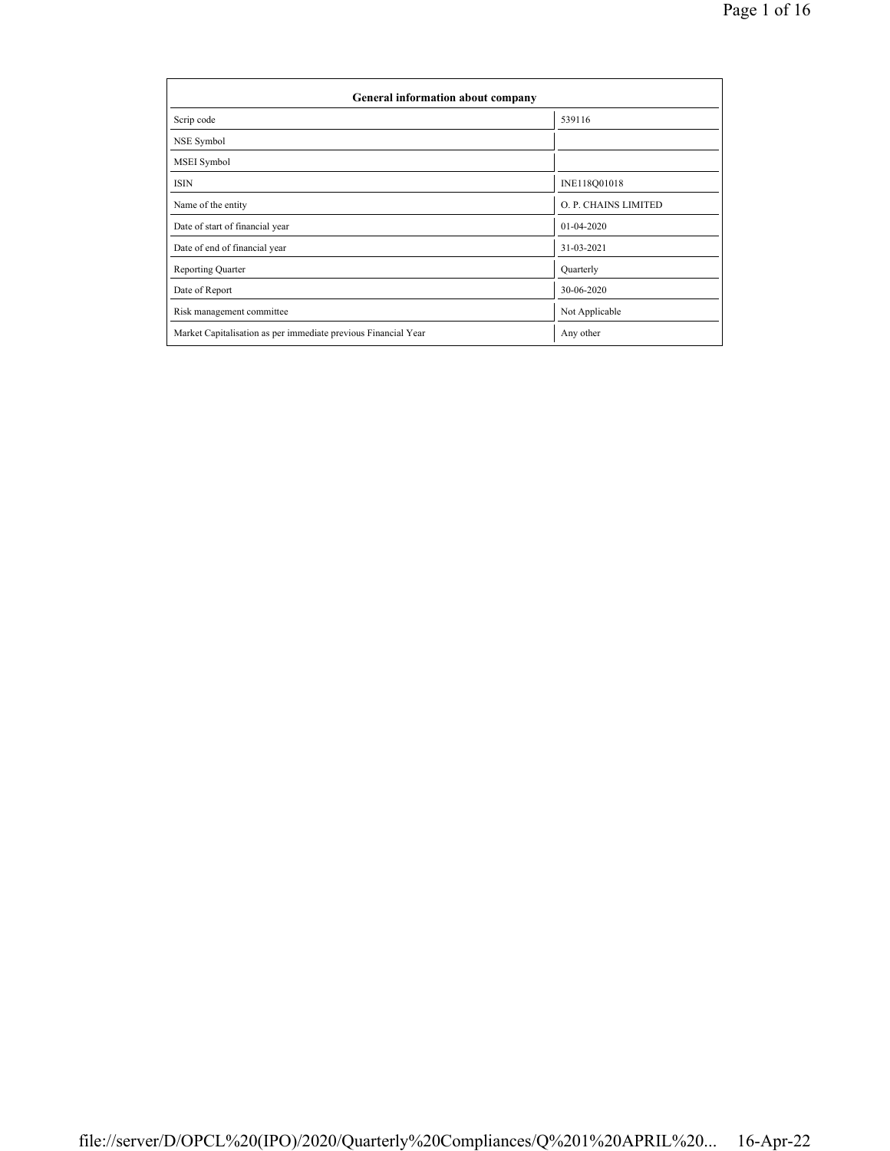| General information about company                              |                      |  |  |  |  |  |  |
|----------------------------------------------------------------|----------------------|--|--|--|--|--|--|
| Scrip code                                                     | 539116               |  |  |  |  |  |  |
| NSE Symbol                                                     |                      |  |  |  |  |  |  |
| MSEI Symbol                                                    |                      |  |  |  |  |  |  |
| <b>ISIN</b>                                                    | INE118Q01018         |  |  |  |  |  |  |
| Name of the entity                                             | O. P. CHAINS LIMITED |  |  |  |  |  |  |
| Date of start of financial year                                | 01-04-2020           |  |  |  |  |  |  |
| Date of end of financial year                                  | 31-03-2021           |  |  |  |  |  |  |
| <b>Reporting Quarter</b>                                       | Quarterly            |  |  |  |  |  |  |
| Date of Report                                                 | 30-06-2020           |  |  |  |  |  |  |
| Risk management committee                                      | Not Applicable       |  |  |  |  |  |  |
| Market Capitalisation as per immediate previous Financial Year | Any other            |  |  |  |  |  |  |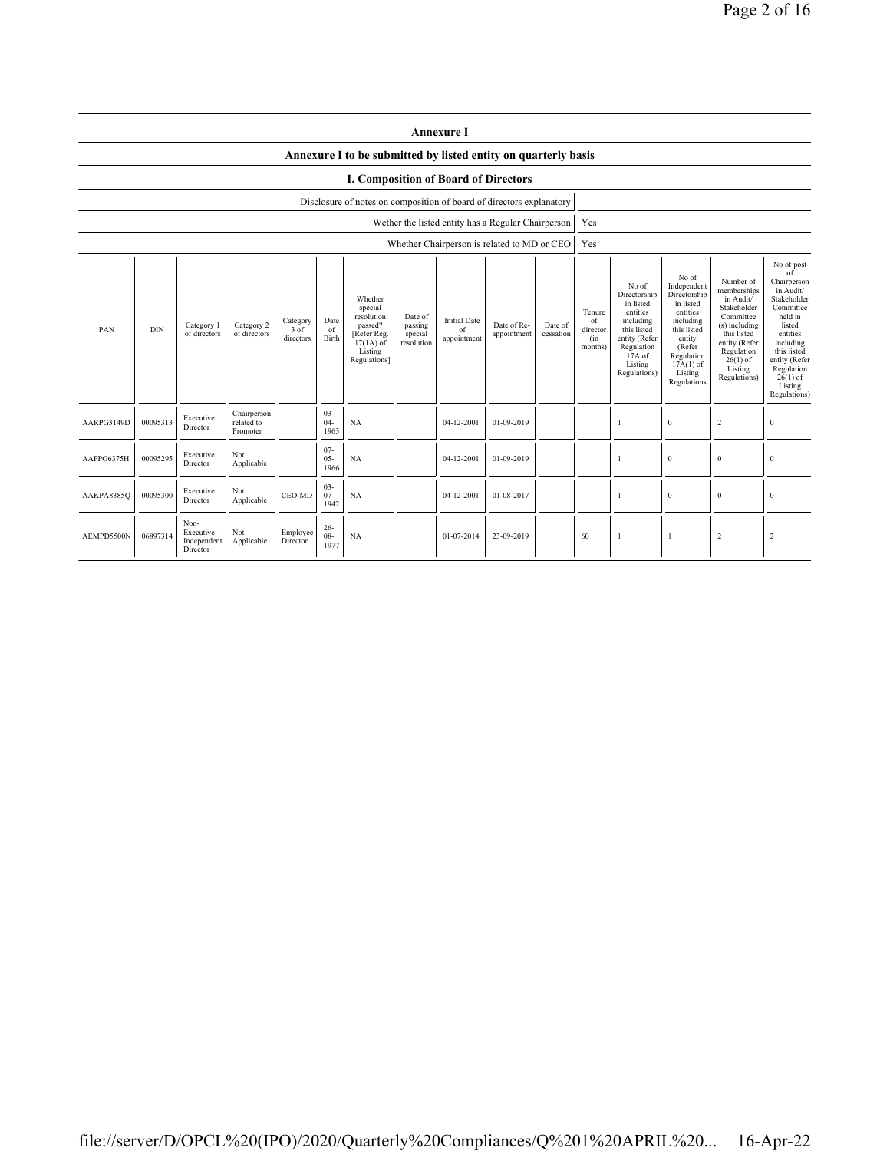|                                                                                                                                                                                                                                                                                                                                                                                                | <b>Annexure I</b>                                                    |                                                |                                       |                      |                                            |                                                                                                                                                  |                                                                                                                                                                      |                                                                                                                                                                           |                                                                                                                                                                                                               |  |     |  |              |                |                  |
|------------------------------------------------------------------------------------------------------------------------------------------------------------------------------------------------------------------------------------------------------------------------------------------------------------------------------------------------------------------------------------------------|----------------------------------------------------------------------|------------------------------------------------|---------------------------------------|----------------------|--------------------------------------------|--------------------------------------------------------------------------------------------------------------------------------------------------|----------------------------------------------------------------------------------------------------------------------------------------------------------------------|---------------------------------------------------------------------------------------------------------------------------------------------------------------------------|---------------------------------------------------------------------------------------------------------------------------------------------------------------------------------------------------------------|--|-----|--|--------------|----------------|------------------|
|                                                                                                                                                                                                                                                                                                                                                                                                |                                                                      |                                                |                                       |                      |                                            | Annexure I to be submitted by listed entity on quarterly basis                                                                                   |                                                                                                                                                                      |                                                                                                                                                                           |                                                                                                                                                                                                               |  |     |  |              |                |                  |
| <b>I. Composition of Board of Directors</b>                                                                                                                                                                                                                                                                                                                                                    |                                                                      |                                                |                                       |                      |                                            |                                                                                                                                                  |                                                                                                                                                                      |                                                                                                                                                                           |                                                                                                                                                                                                               |  |     |  |              |                |                  |
|                                                                                                                                                                                                                                                                                                                                                                                                | Disclosure of notes on composition of board of directors explanatory |                                                |                                       |                      |                                            |                                                                                                                                                  |                                                                                                                                                                      |                                                                                                                                                                           |                                                                                                                                                                                                               |  |     |  |              |                |                  |
|                                                                                                                                                                                                                                                                                                                                                                                                |                                                                      |                                                |                                       |                      |                                            |                                                                                                                                                  |                                                                                                                                                                      | Wether the listed entity has a Regular Chairperson                                                                                                                        |                                                                                                                                                                                                               |  | Yes |  |              |                |                  |
|                                                                                                                                                                                                                                                                                                                                                                                                |                                                                      |                                                |                                       |                      |                                            |                                                                                                                                                  |                                                                                                                                                                      | Whether Chairperson is related to MD or CEO                                                                                                                               |                                                                                                                                                                                                               |  | Yes |  |              |                |                  |
| Whether<br>special<br>resolution<br>Date of<br>Date<br><b>Initial Date</b><br>Category<br>Category 2<br>passed?<br>passing<br>Date of Re-<br>Category 1<br>Date of<br><b>DIN</b><br>PAN<br>3 of<br>of<br>of<br>of directors<br>of directors<br>[Refer Reg.<br>special<br>appointment<br>cessation<br>Birth<br>directors<br>appointment<br>$17(1A)$ of<br>resolution<br>Listing<br>Regulations] |                                                                      |                                                |                                       |                      | Tenure<br>of<br>director<br>(in<br>months) | No of<br>Directorship<br>in listed<br>entities<br>including<br>this listed<br>entity (Refer<br>Regulation<br>$17A$ of<br>Listing<br>Regulations) | No of<br>Independent<br>Directorship<br>in listed<br>entities<br>including<br>this listed<br>entity<br>(Refer<br>Regulation<br>$17A(1)$ of<br>Listing<br>Regulations | Number of<br>memberships<br>in Audit/<br>Stakeholder<br>Committee<br>(s) including<br>this listed<br>entity (Refer<br>Regulation<br>$26(1)$ of<br>Listing<br>Regulations) | No of post<br>of<br>Chairperson<br>in Audit/<br>Stakeholder<br>Committee<br>held in<br>listed<br>entities<br>including<br>this listed<br>entity (Refer<br>Regulation<br>$26(1)$ of<br>Listing<br>Regulations) |  |     |  |              |                |                  |
| AARPG3149D                                                                                                                                                                                                                                                                                                                                                                                     | 00095313                                                             | Executive<br>Director                          | Chairperson<br>related to<br>Promoter |                      | $03 -$<br>$04-$<br>1963                    | NA                                                                                                                                               |                                                                                                                                                                      | 04-12-2001                                                                                                                                                                | 01-09-2019                                                                                                                                                                                                    |  |     |  | $\bf{0}$     | $\sqrt{2}$     | $\boldsymbol{0}$ |
| AAPPG6375H                                                                                                                                                                                                                                                                                                                                                                                     | 00095295                                                             | Executive<br>Director                          | Not<br>Applicable                     |                      | $07 -$<br>$05 -$<br>1966                   | <b>NA</b>                                                                                                                                        |                                                                                                                                                                      | 04-12-2001                                                                                                                                                                | 01-09-2019                                                                                                                                                                                                    |  |     |  | $\mathbf{0}$ | $\mathbf{0}$   | $\mathbf{0}$     |
| AAKPA8385Q                                                                                                                                                                                                                                                                                                                                                                                     | 00095300                                                             | Executive<br>Director                          | Not<br>Applicable                     | CEO-MD               | $03 -$<br>$07 -$<br>1942                   | <b>NA</b>                                                                                                                                        |                                                                                                                                                                      | 04-12-2001                                                                                                                                                                | 01-08-2017                                                                                                                                                                                                    |  |     |  | $\bf{0}$     | $\mathbf{0}$   | $\mathbf{0}$     |
| AEMPD5500N                                                                                                                                                                                                                                                                                                                                                                                     | 06897314                                                             | Non-<br>Executive -<br>Independent<br>Director | Not<br>Applicable                     | Employee<br>Director | $26 -$<br>$08 -$<br>1977                   | <b>NA</b>                                                                                                                                        |                                                                                                                                                                      | 01-07-2014                                                                                                                                                                | 23-09-2019                                                                                                                                                                                                    |  | 60  |  | -1           | $\overline{c}$ | $\overline{2}$   |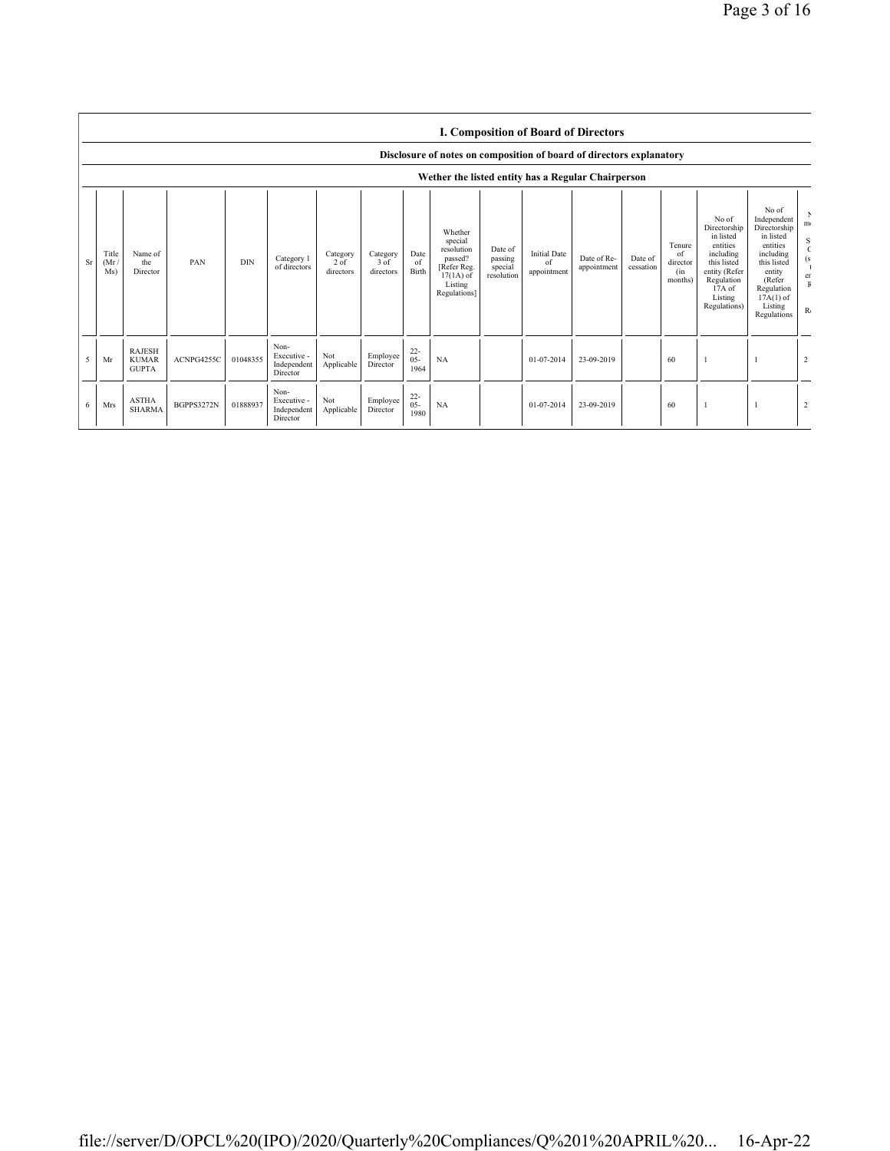|    |                                                    |                                               |            |            |                                                |                                 |                               |                          |                                                                                                      |                                             |                                          | <b>I. Composition of Board of Directors</b> |                      |                                            |                                                                                                                                                |                                                                                                                                                                      |                                      |
|----|----------------------------------------------------|-----------------------------------------------|------------|------------|------------------------------------------------|---------------------------------|-------------------------------|--------------------------|------------------------------------------------------------------------------------------------------|---------------------------------------------|------------------------------------------|---------------------------------------------|----------------------|--------------------------------------------|------------------------------------------------------------------------------------------------------------------------------------------------|----------------------------------------------------------------------------------------------------------------------------------------------------------------------|--------------------------------------|
|    |                                                    |                                               |            |            |                                                |                                 |                               |                          | Disclosure of notes on composition of board of directors explanatory                                 |                                             |                                          |                                             |                      |                                            |                                                                                                                                                |                                                                                                                                                                      |                                      |
|    | Wether the listed entity has a Regular Chairperson |                                               |            |            |                                                |                                 |                               |                          |                                                                                                      |                                             |                                          |                                             |                      |                                            |                                                                                                                                                |                                                                                                                                                                      |                                      |
| Sr | Title<br>(Mr)<br>Ms)                               | Name of<br>the<br>Director                    | PAN        | <b>DIN</b> | Category 1<br>of directors                     | Category<br>$2$ of<br>directors | Category<br>3 of<br>directors | Date<br>of<br>Birth      | Whether<br>special<br>resolution<br>passed?<br>[Refer Reg.<br>$17(1A)$ of<br>Listing<br>Regulations] | Date of<br>passing<br>special<br>resolution | <b>Initial Date</b><br>of<br>appointment | Date of Re-<br>appointment                  | Date of<br>cessation | Tenure<br>of<br>director<br>(in<br>months) | No of<br>Directorship<br>in listed<br>entities<br>including<br>this listed<br>entity (Refer<br>Regulation<br>17A of<br>Listing<br>Regulations) | No of<br>Independent<br>Directorship<br>in listed<br>entities<br>including<br>this listed<br>entity<br>(Refer<br>Regulation<br>$17A(1)$ of<br>Listing<br>Regulations | m <sub>1</sub><br>S<br>er<br>$R_{0}$ |
| 5  | Mr                                                 | <b>RAJESH</b><br><b>KUMAR</b><br><b>GUPTA</b> | ACNPG4255C | 01048355   | Non-<br>Executive -<br>Independent<br>Director | Not<br>Applicable               | Employee<br>Director          | $22 -$<br>$05 -$<br>1964 | NA                                                                                                   |                                             | 01-07-2014                               | 23-09-2019                                  |                      | 60                                         |                                                                                                                                                |                                                                                                                                                                      | $\overline{2}$                       |
| 6  | Mrs                                                | <b>ASTHA</b><br><b>SHARMA</b>                 | BGPPS3272N | 01888937   | Non-<br>Executive -<br>Independent<br>Director | Not<br>Applicable               | Employee<br>Director          | $^{22}_{05}$<br>1980     | NA                                                                                                   |                                             | 01-07-2014                               | 23-09-2019                                  |                      | 60                                         |                                                                                                                                                |                                                                                                                                                                      | $\overline{2}$                       |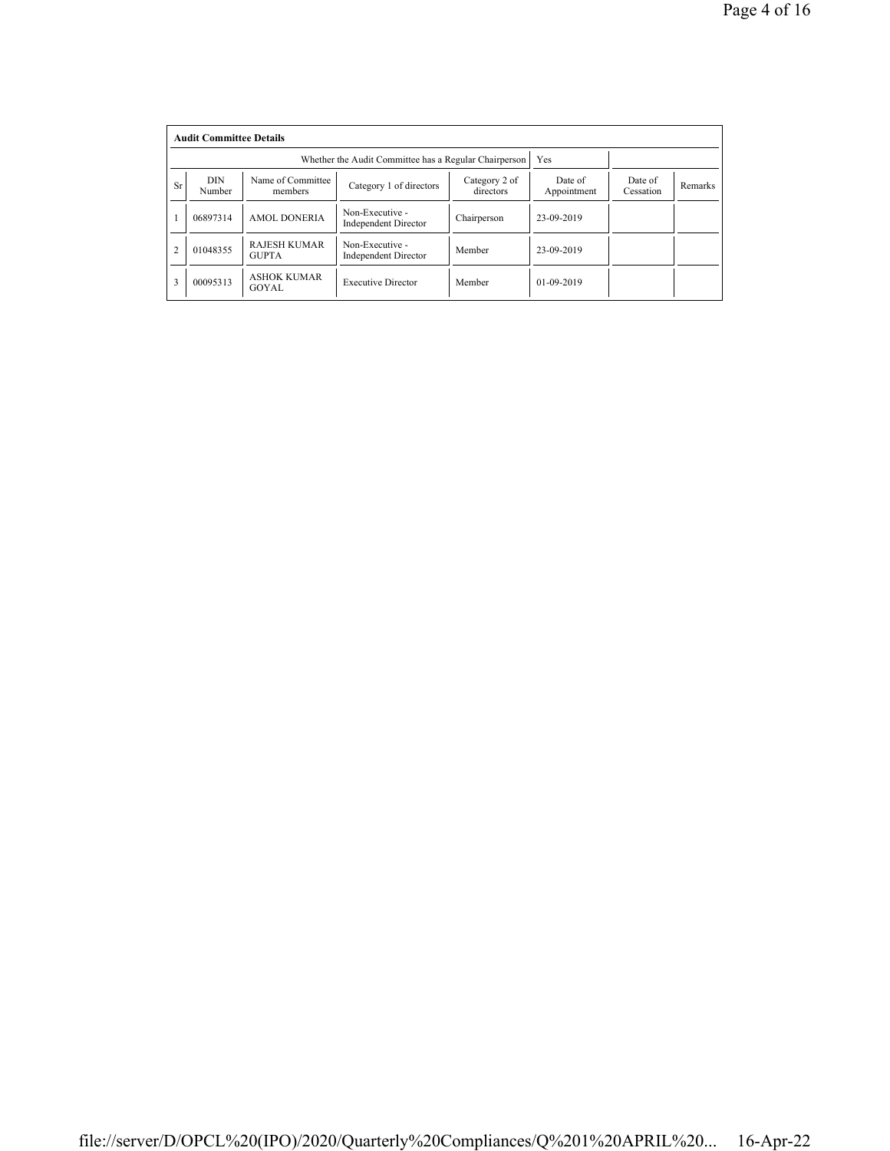|                | <b>Audit Committee Details</b> |                                     |                                                       |                            |                        |                      |         |  |  |
|----------------|--------------------------------|-------------------------------------|-------------------------------------------------------|----------------------------|------------------------|----------------------|---------|--|--|
|                |                                |                                     | Whether the Audit Committee has a Regular Chairperson |                            | Yes                    |                      |         |  |  |
| <b>Sr</b>      | <b>DIN</b><br>Number           | Name of Committee<br>members        | Category 1 of directors                               | Category 2 of<br>directors | Date of<br>Appointment | Date of<br>Cessation | Remarks |  |  |
|                | 06897314                       | <b>AMOL DONERIA</b>                 | Non-Executive -<br><b>Independent Director</b>        | Chairperson                | 23-09-2019             |                      |         |  |  |
| $\overline{2}$ | 01048355                       | <b>RAJESH KUMAR</b><br><b>GUPTA</b> | Non-Executive -<br><b>Independent Director</b>        | Member                     | 23-09-2019             |                      |         |  |  |
| 3              | 00095313                       | <b>ASHOK KUMAR</b><br>GOYAL         | <b>Executive Director</b>                             | Member                     | $01 - 09 - 2019$       |                      |         |  |  |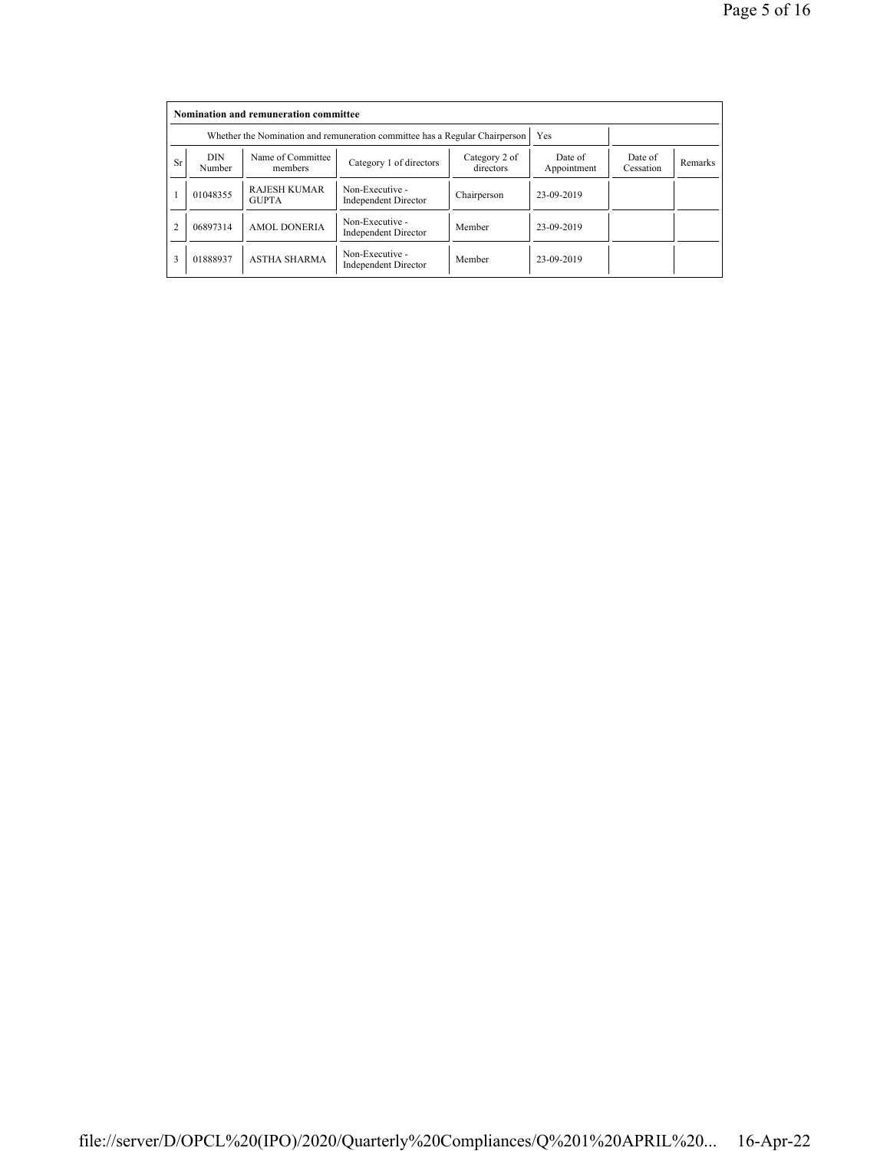|           | Nomination and remuneration committee |                                                                             |                                                |                            |                        |                      |         |  |  |
|-----------|---------------------------------------|-----------------------------------------------------------------------------|------------------------------------------------|----------------------------|------------------------|----------------------|---------|--|--|
|           |                                       | Whether the Nomination and remuneration committee has a Regular Chairperson |                                                | Yes                        |                        |                      |         |  |  |
| <b>Sr</b> | <b>DIN</b><br>Number                  | Name of Committee<br>members                                                | Category 1 of directors                        | Category 2 of<br>directors | Date of<br>Appointment | Date of<br>Cessation | Remarks |  |  |
|           | 01048355                              | <b>RAJESH KUMAR</b><br><b>GUPTA</b>                                         | Non-Executive -<br><b>Independent Director</b> | Chairperson                | 23-09-2019             |                      |         |  |  |
|           | 06897314                              | <b>AMOL DONERIA</b>                                                         | Non-Executive -<br><b>Independent Director</b> | Member                     | 23-09-2019             |                      |         |  |  |
| 3         | 01888937                              | <b>ASTHA SHARMA</b>                                                         | Non-Executive -<br><b>Independent Director</b> | Member                     | 23-09-2019             |                      |         |  |  |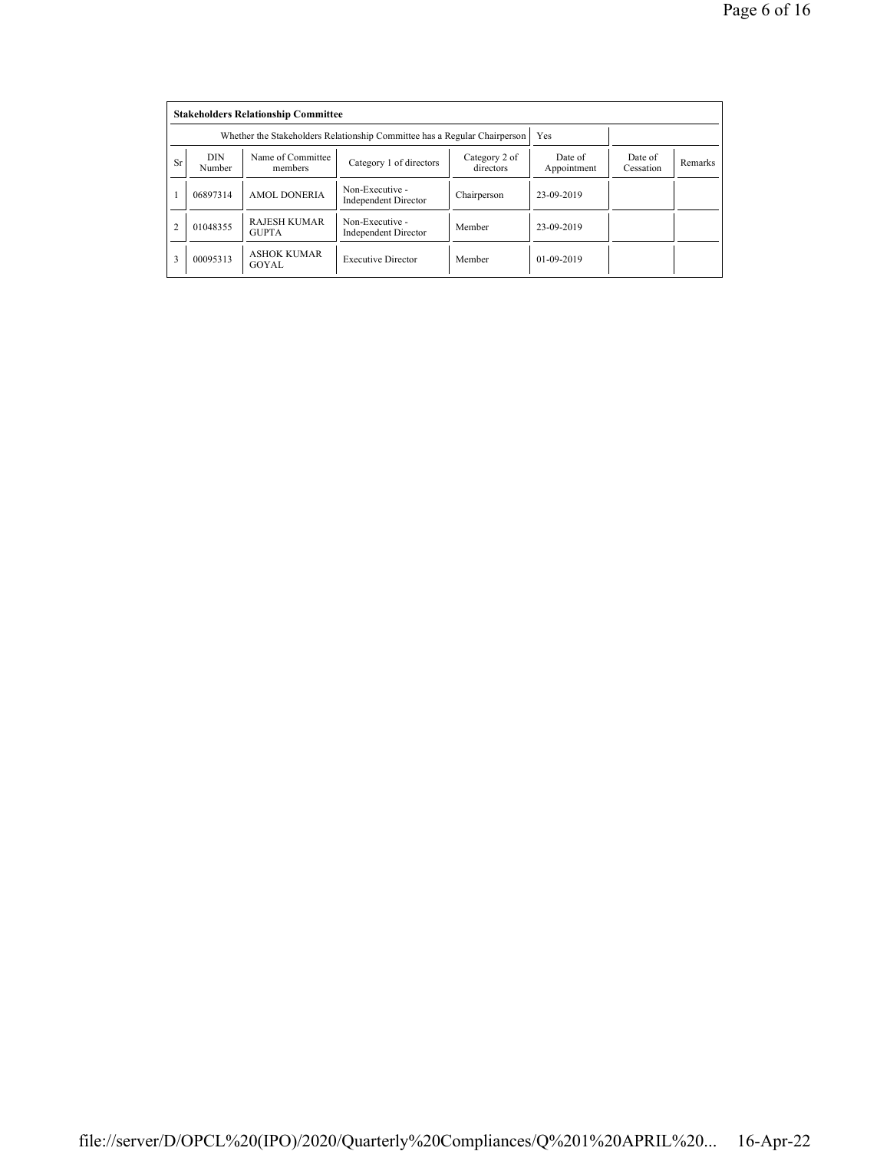|                | <b>Stakeholders Relationship Committee</b> |                                                                           |                                                |                            |                        |                      |         |  |  |
|----------------|--------------------------------------------|---------------------------------------------------------------------------|------------------------------------------------|----------------------------|------------------------|----------------------|---------|--|--|
|                |                                            | Whether the Stakeholders Relationship Committee has a Regular Chairperson |                                                | Yes                        |                        |                      |         |  |  |
| <b>Sr</b>      | <b>DIN</b><br>Number                       | Name of Committee<br>members                                              | Category 1 of directors                        | Category 2 of<br>directors | Date of<br>Appointment | Date of<br>Cessation | Remarks |  |  |
|                | 06897314                                   | <b>AMOL DONERIA</b>                                                       | Non-Executive -<br><b>Independent Director</b> | Chairperson                | 23-09-2019             |                      |         |  |  |
| $\overline{2}$ | 01048355                                   | <b>RAJESH KUMAR</b><br><b>GUPTA</b>                                       | Non-Executive -<br><b>Independent Director</b> | Member                     | 23-09-2019             |                      |         |  |  |
| 3              | 00095313                                   | <b>ASHOK KUMAR</b><br>GOYAL                                               | <b>Executive Director</b>                      | Member                     | $01-09-2019$           |                      |         |  |  |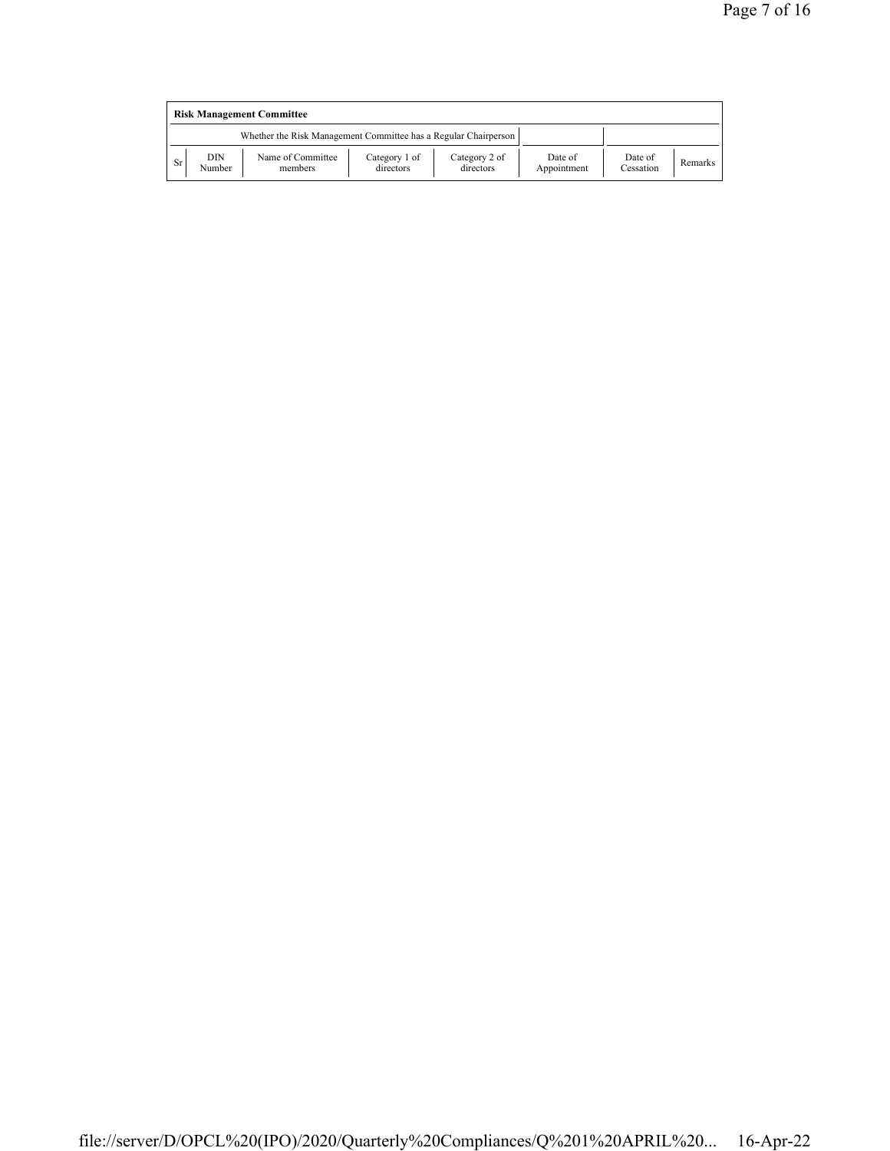|    | <b>Risk Management Committee</b> |                                                                 |                            |                            |                        |                      |         |  |  |
|----|----------------------------------|-----------------------------------------------------------------|----------------------------|----------------------------|------------------------|----------------------|---------|--|--|
|    |                                  | Whether the Risk Management Committee has a Regular Chairperson |                            |                            |                        |                      |         |  |  |
| Sr | DIN<br>Number                    | Name of Committee<br>members                                    | Category 1 of<br>directors | Category 2 of<br>directors | Date of<br>Appointment | Date of<br>Cessation | Remarks |  |  |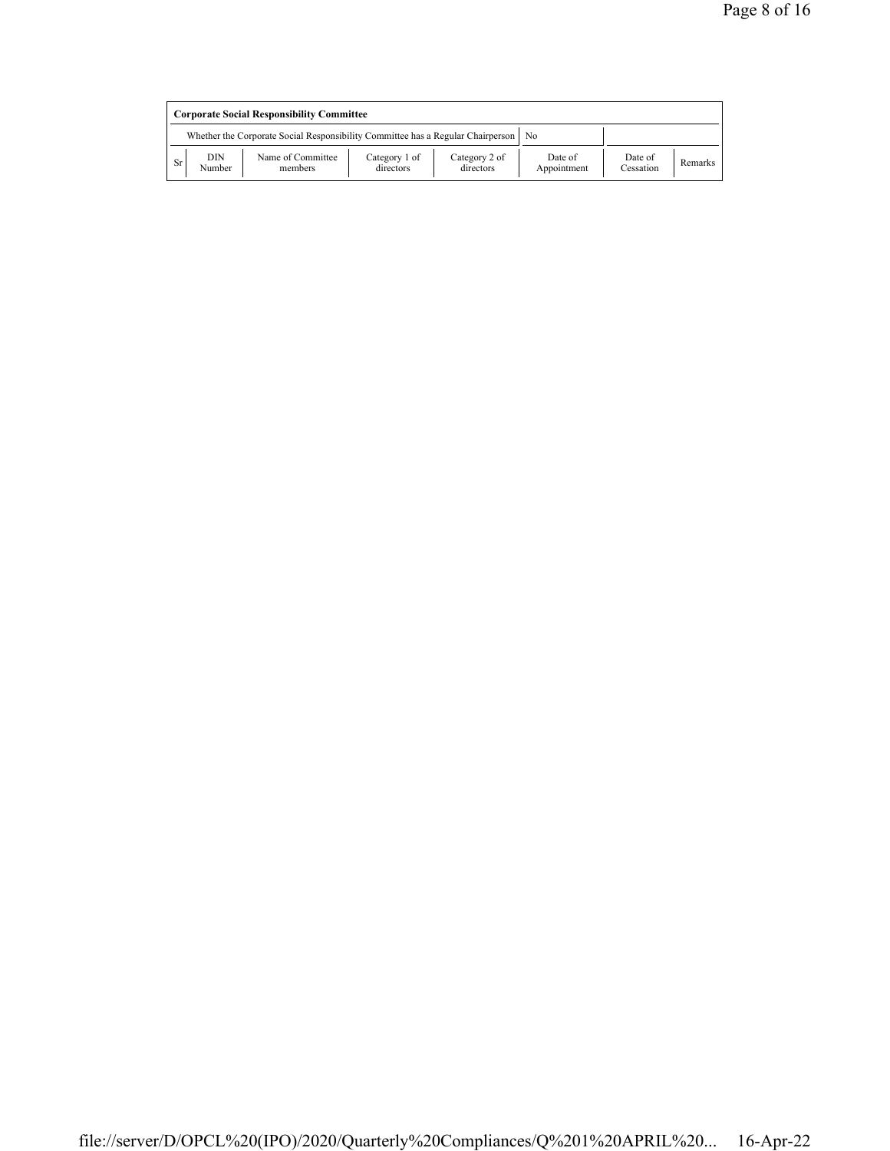|    | <b>Corporate Social Responsibility Committee</b> |                                                                                      |                            |                            |                        |                      |         |  |  |
|----|--------------------------------------------------|--------------------------------------------------------------------------------------|----------------------------|----------------------------|------------------------|----------------------|---------|--|--|
|    |                                                  | Whether the Corporate Social Responsibility Committee has a Regular Chairperson   No |                            |                            |                        |                      |         |  |  |
| Sr | DIN<br>Number                                    | Name of Committee<br>members                                                         | Category 1 of<br>directors | Category 2 of<br>directors | Date of<br>Appointment | Date of<br>Cessation | Remarks |  |  |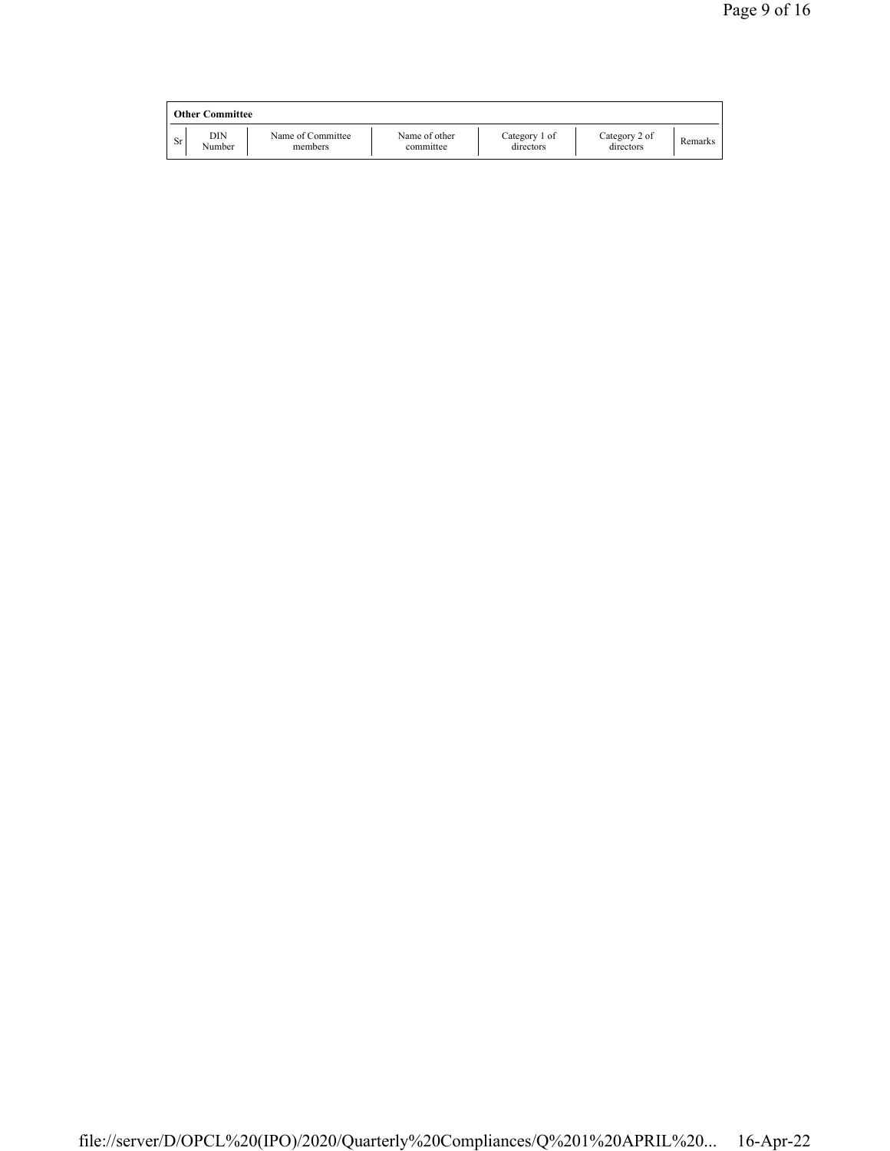|    | <b>Other Committee</b> |                              |                            |                            |                            |         |
|----|------------------------|------------------------------|----------------------------|----------------------------|----------------------------|---------|
| Sr | DIN<br>Number          | Name of Committee<br>members | Name of other<br>committee | Category 1 of<br>directors | Category 2 of<br>directors | Remarks |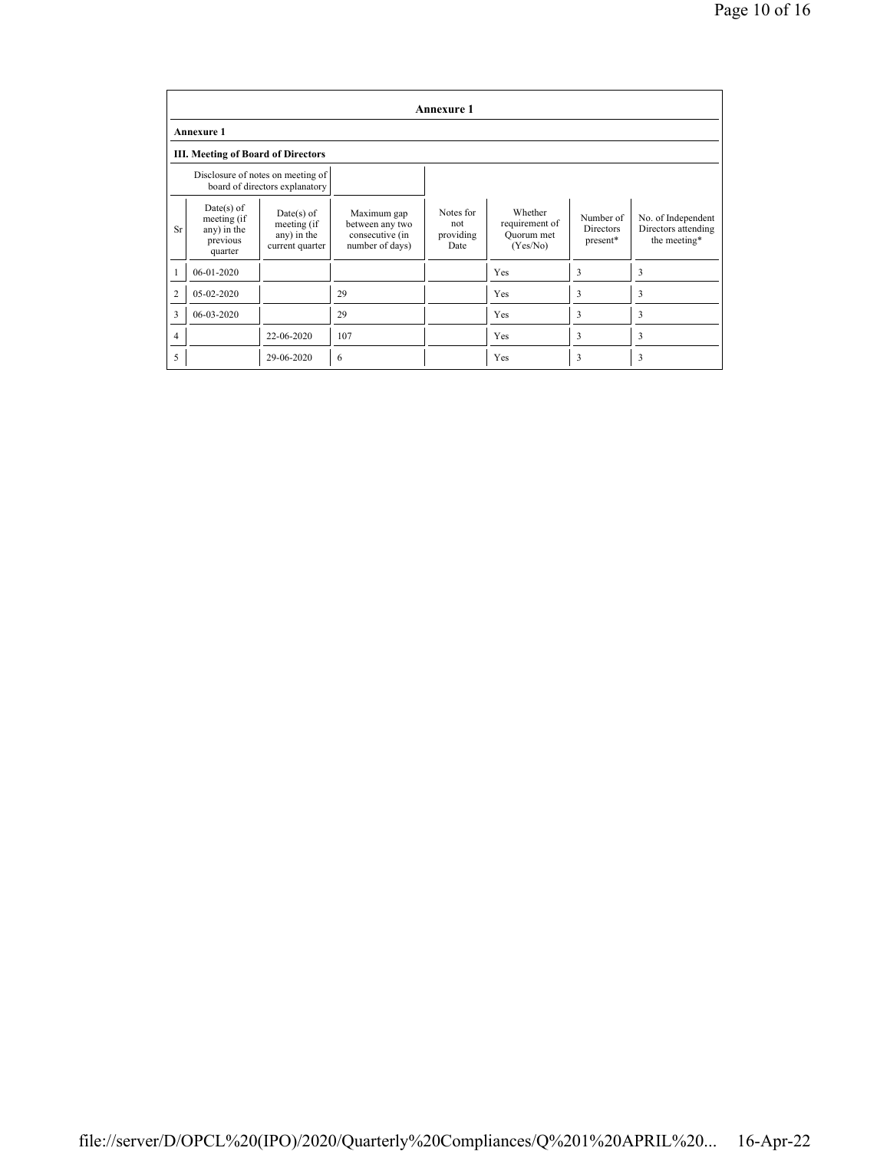|                | <b>Annexure 1</b>                                                 |                                                                     |                                                                      |                                       |                                                     |                                           |                                                           |  |  |
|----------------|-------------------------------------------------------------------|---------------------------------------------------------------------|----------------------------------------------------------------------|---------------------------------------|-----------------------------------------------------|-------------------------------------------|-----------------------------------------------------------|--|--|
|                | <b>Annexure 1</b>                                                 |                                                                     |                                                                      |                                       |                                                     |                                           |                                                           |  |  |
|                | <b>III. Meeting of Board of Directors</b>                         |                                                                     |                                                                      |                                       |                                                     |                                           |                                                           |  |  |
|                |                                                                   | Disclosure of notes on meeting of<br>board of directors explanatory |                                                                      |                                       |                                                     |                                           |                                                           |  |  |
| <b>Sr</b>      | $Date(s)$ of<br>meeting (if<br>any) in the<br>previous<br>quarter | $Date(s)$ of<br>meeting (if<br>any) in the<br>current quarter       | Maximum gap<br>between any two<br>consecutive (in<br>number of days) | Notes for<br>not<br>providing<br>Date | Whether<br>requirement of<br>Quorum met<br>(Yes/No) | Number of<br><b>Directors</b><br>present* | No. of Independent<br>Directors attending<br>the meeting* |  |  |
|                | 06-01-2020                                                        |                                                                     |                                                                      |                                       | Yes                                                 | 3                                         | 3                                                         |  |  |
| $\overline{2}$ | 05-02-2020                                                        |                                                                     | 29                                                                   |                                       | Yes                                                 | 3                                         | 3                                                         |  |  |
| 3              | 06-03-2020                                                        |                                                                     | 29                                                                   |                                       | Yes                                                 | 3                                         | 3                                                         |  |  |
| 4              |                                                                   | 22-06-2020                                                          | 107                                                                  |                                       | Yes                                                 | 3                                         | 3                                                         |  |  |
| 5              |                                                                   | 29-06-2020                                                          | 6                                                                    |                                       | Yes                                                 | 3                                         | 3                                                         |  |  |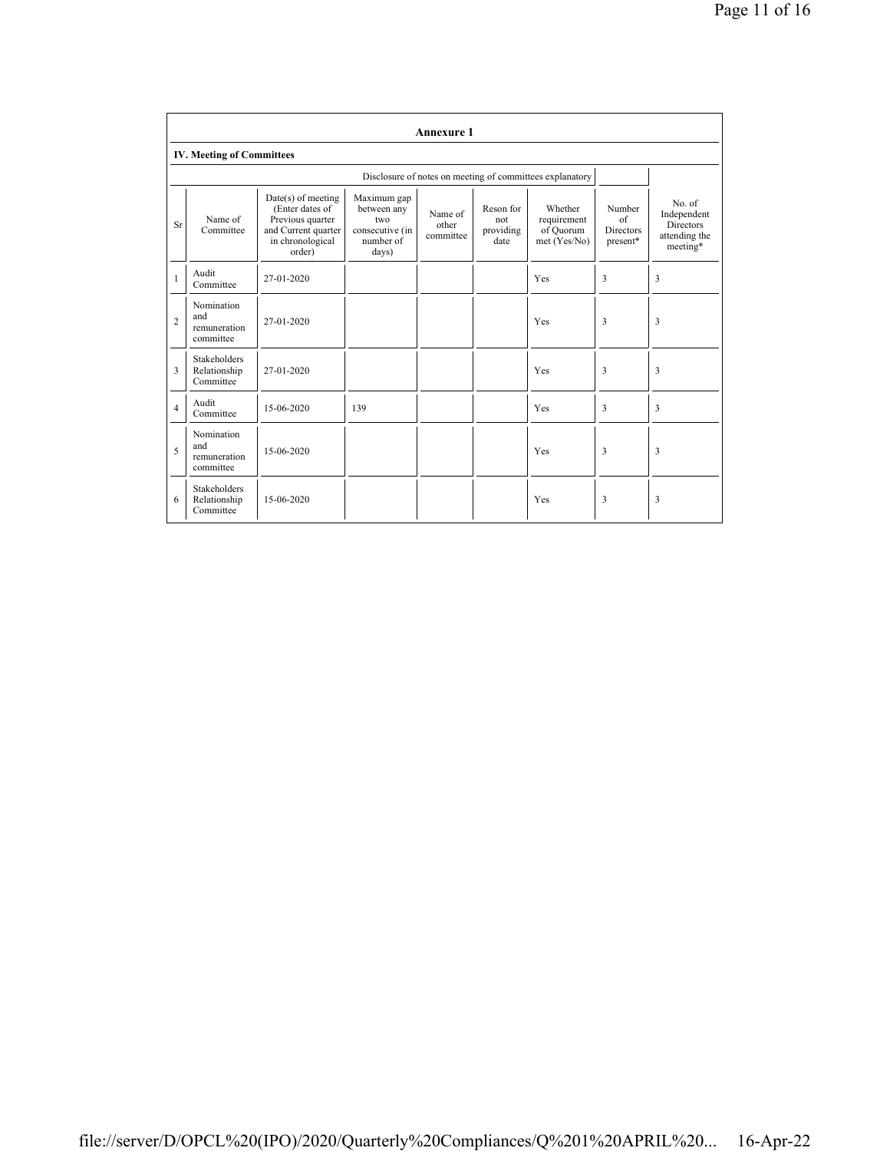|                | <b>Annexure 1</b>                                |                                                                                                                  |                                                                            |                               |                                       |                                                          |                                              |                                                                        |  |
|----------------|--------------------------------------------------|------------------------------------------------------------------------------------------------------------------|----------------------------------------------------------------------------|-------------------------------|---------------------------------------|----------------------------------------------------------|----------------------------------------------|------------------------------------------------------------------------|--|
|                | <b>IV. Meeting of Committees</b>                 |                                                                                                                  |                                                                            |                               |                                       |                                                          |                                              |                                                                        |  |
|                |                                                  |                                                                                                                  |                                                                            |                               |                                       | Disclosure of notes on meeting of committees explanatory |                                              |                                                                        |  |
| Sr             | Name of<br>Committee                             | $Date(s)$ of meeting<br>(Enter dates of<br>Previous quarter<br>and Current quarter<br>in chronological<br>order) | Maximum gap<br>between any<br>two<br>consecutive (in<br>number of<br>days) | Name of<br>other<br>committee | Reson for<br>not<br>providing<br>date | Whether<br>requirement<br>of Quorum<br>met (Yes/No)      | Number<br>of<br><b>Directors</b><br>present* | No. of<br>Independent<br><b>Directors</b><br>attending the<br>meeting* |  |
| $\mathbf{1}$   | Audit<br>Committee                               | 27-01-2020                                                                                                       |                                                                            |                               |                                       | Yes                                                      | 3                                            | 3                                                                      |  |
| $\overline{c}$ | Nomination<br>and<br>remuneration<br>committee   | 27-01-2020                                                                                                       |                                                                            |                               |                                       | Yes                                                      | 3                                            | 3                                                                      |  |
| 3              | <b>Stakeholders</b><br>Relationship<br>Committee | 27-01-2020                                                                                                       |                                                                            |                               |                                       | Yes                                                      | 3                                            | 3                                                                      |  |
| $\overline{4}$ | Audit<br>Committee                               | 15-06-2020                                                                                                       | 139                                                                        |                               |                                       | Yes                                                      | 3                                            | 3                                                                      |  |
| 5              | Nomination<br>and<br>remuneration<br>committee   | 15-06-2020                                                                                                       |                                                                            |                               |                                       | Yes                                                      | 3                                            | 3                                                                      |  |
| 6              | <b>Stakeholders</b><br>Relationship<br>Committee | 15-06-2020                                                                                                       |                                                                            |                               |                                       | Yes                                                      | 3                                            | 3                                                                      |  |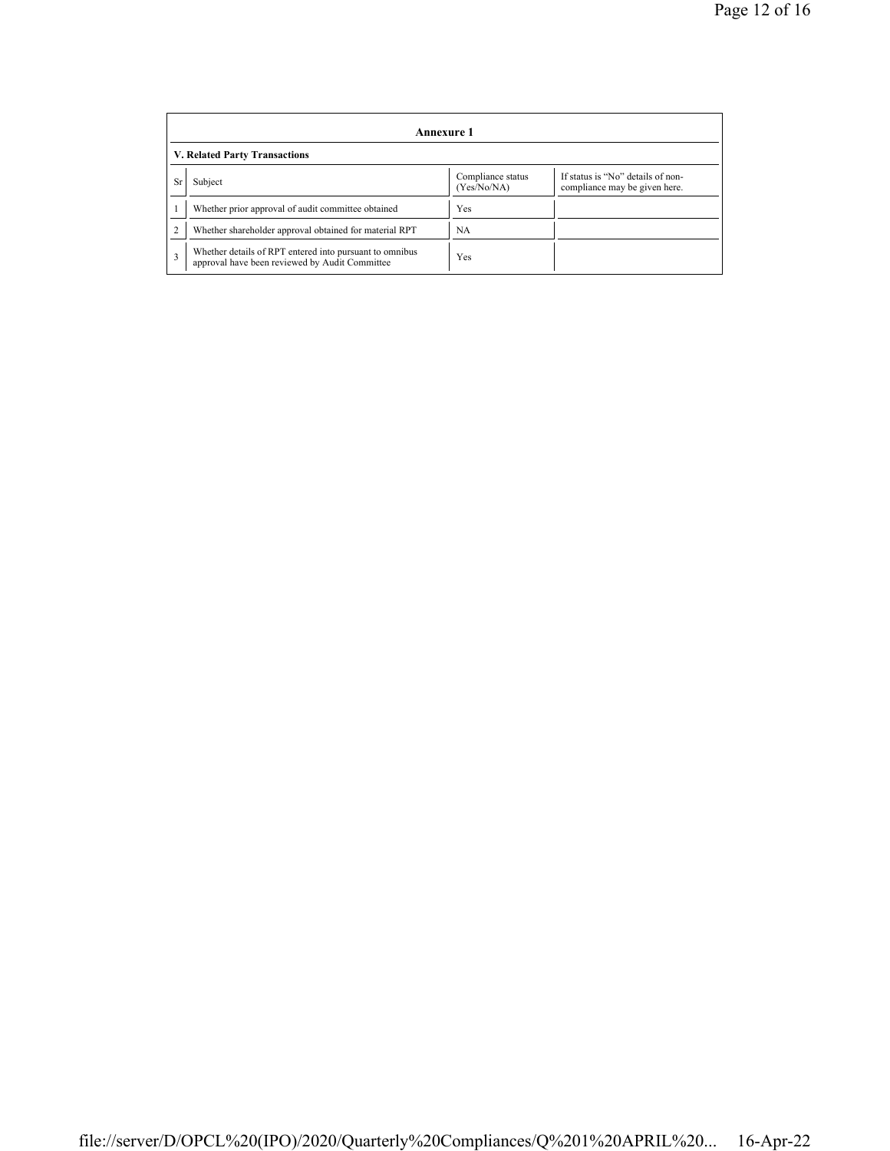|    | Annexure 1                                                                                                |                                  |                                                                    |  |  |  |  |  |
|----|-----------------------------------------------------------------------------------------------------------|----------------------------------|--------------------------------------------------------------------|--|--|--|--|--|
|    | V. Related Party Transactions                                                                             |                                  |                                                                    |  |  |  |  |  |
| Sr | Subject                                                                                                   | Compliance status<br>(Yes/No/NA) | If status is "No" details of non-<br>compliance may be given here. |  |  |  |  |  |
|    | Whether prior approval of audit committee obtained                                                        | Yes                              |                                                                    |  |  |  |  |  |
|    | Whether shareholder approval obtained for material RPT                                                    | NA                               |                                                                    |  |  |  |  |  |
| 3  | Whether details of RPT entered into pursuant to omnibus<br>approval have been reviewed by Audit Committee | Yes                              |                                                                    |  |  |  |  |  |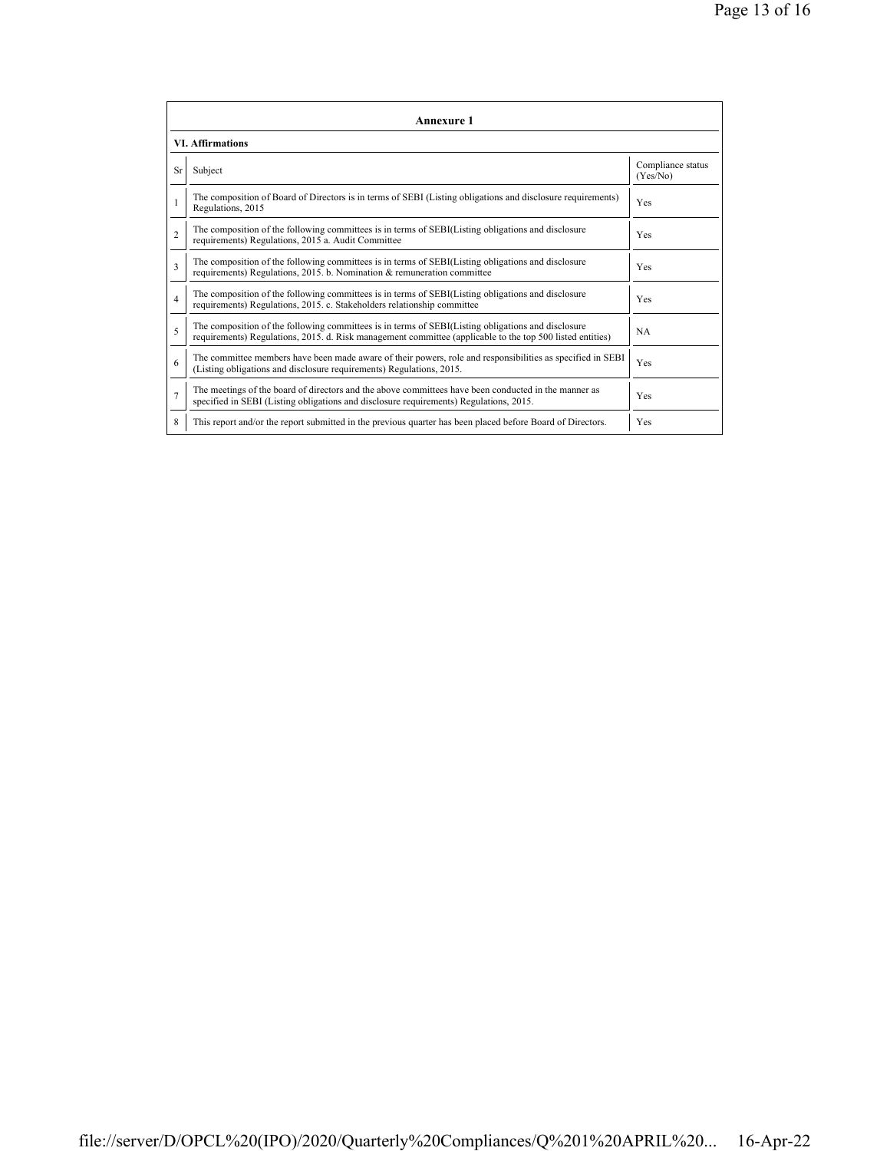| <b>Annexure 1</b>       |                                                                                                                                                                                                                 |                               |  |  |
|-------------------------|-----------------------------------------------------------------------------------------------------------------------------------------------------------------------------------------------------------------|-------------------------------|--|--|
| <b>VI. Affirmations</b> |                                                                                                                                                                                                                 |                               |  |  |
| <b>Sr</b>               | Subject                                                                                                                                                                                                         | Compliance status<br>(Yes/No) |  |  |
|                         | The composition of Board of Directors is in terms of SEBI (Listing obligations and disclosure requirements)<br>Regulations, 2015                                                                                | Yes                           |  |  |
| $\mathfrak{D}$          | The composition of the following committees is in terms of SEBI(Listing obligations and disclosure<br>requirements) Regulations, 2015 a. Audit Committee                                                        | <b>Yes</b>                    |  |  |
| 3                       | The composition of the following committees is in terms of SEBI(Listing obligations and disclosure<br>requirements) Regulations, 2015. b. Nomination & remuneration committee                                   | Yes                           |  |  |
| $\overline{4}$          | The composition of the following committees is in terms of SEBI(Listing obligations and disclosure<br>requirements) Regulations, 2015. c. Stakeholders relationship committee                                   | Yes                           |  |  |
| 5                       | The composition of the following committees is in terms of SEBI(Listing obligations and disclosure<br>requirements) Regulations, 2015. d. Risk management committee (applicable to the top 500 listed entities) | <b>NA</b>                     |  |  |
| 6                       | The committee members have been made aware of their powers, role and responsibilities as specified in SEBI<br>(Listing obligations and disclosure requirements) Regulations, 2015.                              | Yes                           |  |  |
| $\overline{7}$          | The meetings of the board of directors and the above committees have been conducted in the manner as<br>specified in SEBI (Listing obligations and disclosure requirements) Regulations, 2015.                  | Yes                           |  |  |
| 8                       | This report and/or the report submitted in the previous quarter has been placed before Board of Directors.                                                                                                      | Yes                           |  |  |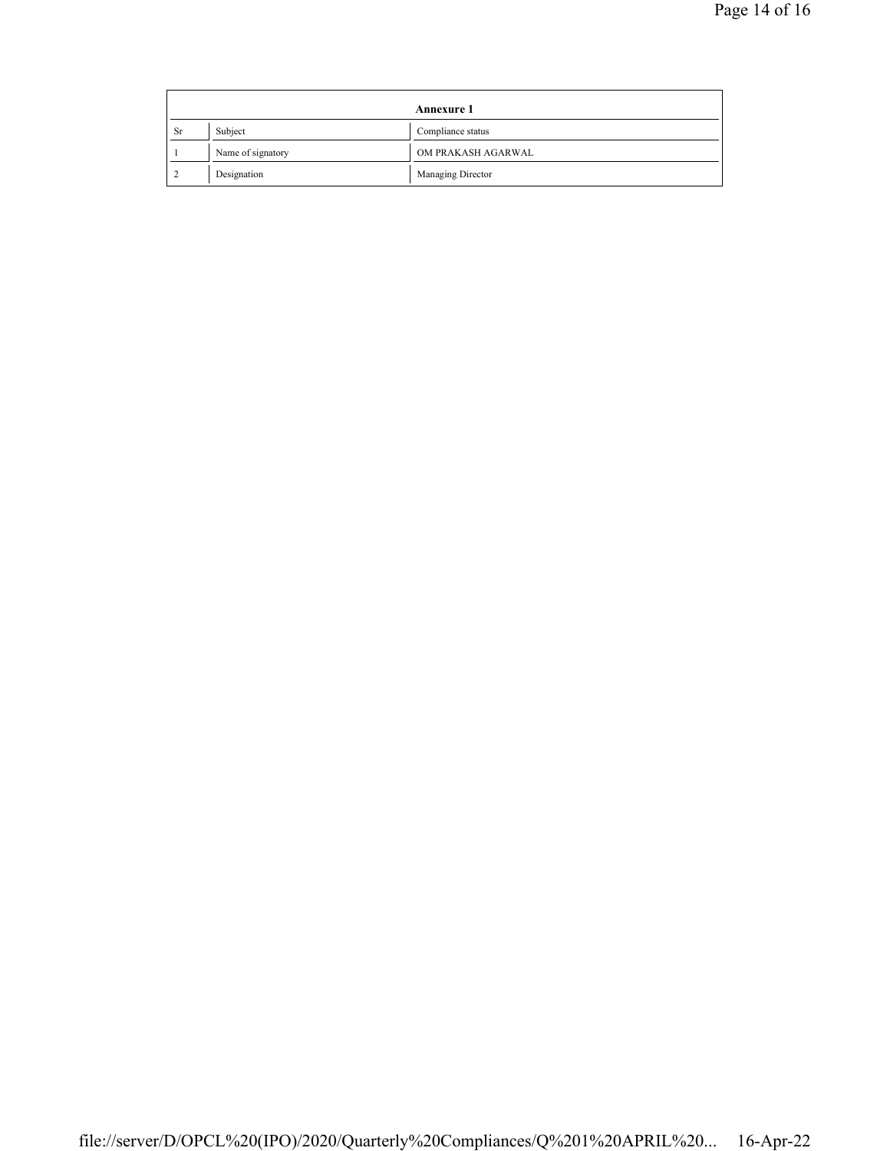| Annexure 1 |                   |                    |  |
|------------|-------------------|--------------------|--|
| <b>Sr</b>  | Subject           | Compliance status  |  |
|            | Name of signatory | OM PRAKASH AGARWAL |  |
|            | Designation       | Managing Director  |  |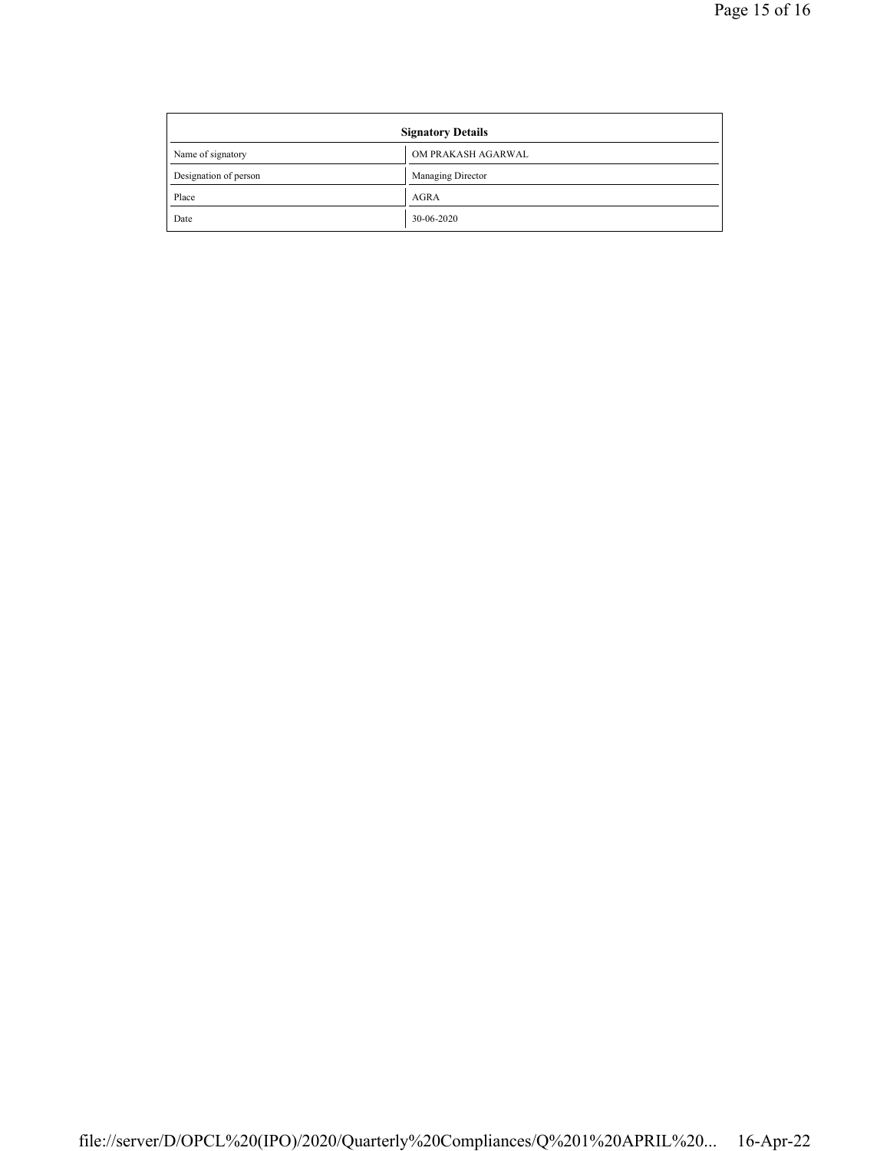| <b>Signatory Details</b> |                    |  |
|--------------------------|--------------------|--|
| Name of signatory        | OM PRAKASH AGARWAL |  |
| Designation of person    | Managing Director  |  |
| Place                    | <b>AGRA</b>        |  |
| Date                     | 30-06-2020         |  |